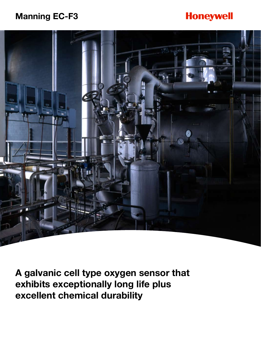## **Manning EC-F3**

# **Honeywell**



**A galvanic cell type oxygen sensor that exhibits exceptionally long life plus excellent chemical durability**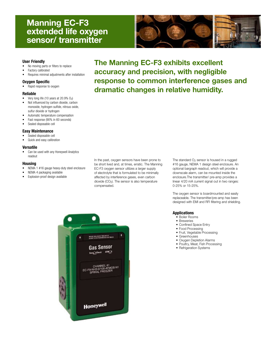## **Manning EC-F3 extended life oxygen sensor/ transmitter**



## **User Friendly**

- No moving parts or filters to replace
- Factory calibrated
- Requires minimal adjustments after installation

## **Oxygen Specific**

• Rapid response to oxygen

## **Reliable**

- Very long life (10 years at  $20.9\%$  O<sub>2</sub>)
- Not influenced by carbon dioxide, carbon monoxide, hydrogen sulfide, nitrous oxide, sulfur dioxide or hydrogen
- Automatic temperature compensation
- Fast response (90% in 60 seconds)
- Sealed disposable cell

## **Easy Maintenance**

- Sealed disposable cell
- Quick and easy calibration

## **Versatile**

• Can be used with any Honeywell Analytics readout

## **Housing**

- NEMA 1 #16 gauge heavy-duty steel enclosure
- NEMA 4 packaging available
- Explosion-proof design available

In the past, oxygen sensors have been prone to be short lived and, at times, erratic. The Manning EC-F3 oxygen sensor utilizes a larger supply of electrolyte that is formulated to be minimally affected by interference gases, even carbon dioxide (CO<sub>2</sub>). The sensor is also temperature compensated.

The standard  $O<sub>2</sub>$  sensor is housed in a rugged #16 gauge, NEMA 1 design steel enclosure. An optional bargraph readout, which will provide a downscale alarm, can be mounted inside the enclosure.The transmitter/ pre-amp provides a linear 4/20 mA current signal out in two ranges: 0-25% or 15-25%.

The oxygen sensor is boardmounted and easily replaceable. The transmitter/pre-amp has been designed with EMI and RFI filtering and shielding.

## **Applications**

- • Boiler Rooms
- Breweries
- • Confined Space Entry
- Food Processing
- Fruit, Vegetable Processing
- • Greenhouses
- Oxygen Depletion Alarms
- Poultry, Meat, Fish Processing
- Refrigeration Systems



**The Manning EC-F3 exhibits excellent accuracy and precision, with negligible response to common interference gases and dramatic changes in relative humidity.**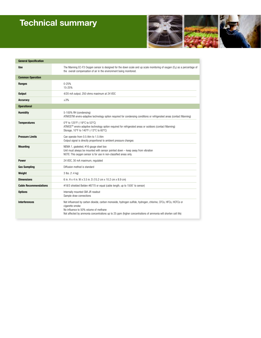# **Technical summary**



| <b>General Specification</b> |                                                                                                                                                                                                                                                                                            |
|------------------------------|--------------------------------------------------------------------------------------------------------------------------------------------------------------------------------------------------------------------------------------------------------------------------------------------|
| <b>Use</b>                   | The Manning EC-F3 Oxygen sensor is designed for the down scale and up scale monitoring of oxygen $(0_2)$ as a percentage of<br>the overall compensation of air in the environment being monitored.                                                                                         |
| <b>Common Operation</b>      |                                                                                                                                                                                                                                                                                            |
| Ranges                       | $0 - 25%$<br>15-25%                                                                                                                                                                                                                                                                        |
| <b>Output</b>                | 4/20 mA output, 250 ohms maximum at 24 VDC                                                                                                                                                                                                                                                 |
| <b>Accuracy</b>              | $\pm 3\%$                                                                                                                                                                                                                                                                                  |
| <b>Operational</b>           |                                                                                                                                                                                                                                                                                            |
| <b>Humidity</b>              | 5-100% RH (condensing)<br>ATMOSTM enviro-adaptive technology option required for condensing conditions or refrigerated areas (contact Manning)                                                                                                                                             |
| <b>Temperatures</b>          | 0°F to 125°F (-19°C to 53°C)<br>ATMOS™ enviro-adaptive technology option required for refrigerated areas or outdoors (contact Manning)<br>Storage, 10°F to 140°F (-13°C to 60°C)                                                                                                           |
| <b>Pressure Limits</b>       | Can operate from 0.5 Atm to 1.5 Atm<br>Output signal is directly proportional to ambient pressure changes                                                                                                                                                                                  |
| <b>Mounting</b>              | NEMA 1, gasketed, #16 gauge steel box<br>Unit must always be mounted with sensor pointed down $-$ keep away from vibration<br>NOTE: This oxygen sensor is for use in non-classified areas only.                                                                                            |
| <b>Power</b>                 | 24 VDC, 30 mA maximum, regulated                                                                                                                                                                                                                                                           |
| <b>Gas Sampling</b>          | Diffusion method is standard                                                                                                                                                                                                                                                               |
| Weight                       | 3 lbs. (1.4 kg)                                                                                                                                                                                                                                                                            |
| <b>Dimensions</b>            | 6 in. H x 4 in. W x 3.5 in. D (15.2 cm x 10.2 cm x 8.9 cm)                                                                                                                                                                                                                                 |
| <b>Cable Recommendations</b> | #18/3 shielded Belden #8770 or equal (cable length, up to 1500' to sensor)                                                                                                                                                                                                                 |
| <b>Options</b>               | Internally mounted GM-JR readout<br>Sample draw connections                                                                                                                                                                                                                                |
| <b>Interferences</b>         | Not influenced by carbon dioxide, carbon monoxide, hydrogen sulfide, hydrogen, chlorine, CFCs, HFCs, HCFCs or<br>cigarette smoke<br>No influence to 50% volume of methane<br>Not affected by ammonia concentrations up to 25 ppm (higher concentrations of ammonia will shorten cell life) |